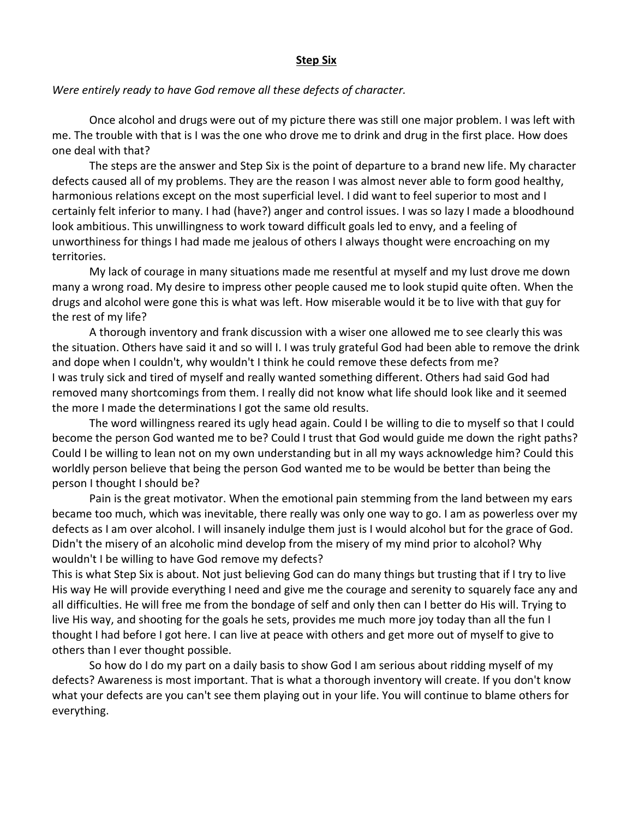## **Step Six**

## *Were entirely ready to have God remove all these defects of character.*

Once alcohol and drugs were out of my picture there was still one major problem. I was left with me. The trouble with that is I was the one who drove me to drink and drug in the first place. How does one deal with that?

The steps are the answer and Step Six is the point of departure to a brand new life. My character defects caused all of my problems. They are the reason I was almost never able to form good healthy, harmonious relations except on the most superficial level. I did want to feel superior to most and I certainly felt inferior to many. I had (have?) anger and control issues. I was so lazy I made a bloodhound look ambitious. This unwillingness to work toward difficult goals led to envy, and a feeling of unworthiness for things I had made me jealous of others I always thought were encroaching on my territories.

My lack of courage in many situations made me resentful at myself and my lust drove me down many a wrong road. My desire to impress other people caused me to look stupid quite often. When the drugs and alcohol were gone this is what was left. How miserable would it be to live with that guy for the rest of my life?

A thorough inventory and frank discussion with a wiser one allowed me to see clearly this was the situation. Others have said it and so will I. I was truly grateful God had been able to remove the drink and dope when I couldn't, why wouldn't I think he could remove these defects from me? I was truly sick and tired of myself and really wanted something different. Others had said God had removed many shortcomings from them. I really did not know what life should look like and it seemed the more I made the determinations I got the same old results.

The word willingness reared its ugly head again. Could I be willing to die to myself so that I could become the person God wanted me to be? Could I trust that God would guide me down the right paths? Could I be willing to lean not on my own understanding but in all my ways acknowledge him? Could this worldly person believe that being the person God wanted me to be would be better than being the person I thought I should be?

Pain is the great motivator. When the emotional pain stemming from the land between my ears became too much, which was inevitable, there really was only one way to go. I am as powerless over my defects as I am over alcohol. I will insanely indulge them just is I would alcohol but for the grace of God. Didn't the misery of an alcoholic mind develop from the misery of my mind prior to alcohol? Why wouldn't I be willing to have God remove my defects?

This is what Step Six is about. Not just believing God can do many things but trusting that if I try to live His way He will provide everything I need and give me the courage and serenity to squarely face any and all difficulties. He will free me from the bondage of self and only then can I better do His will. Trying to live His way, and shooting for the goals he sets, provides me much more joy today than all the fun I thought I had before I got here. I can live at peace with others and get more out of myself to give to others than I ever thought possible.

So how do I do my part on a daily basis to show God I am serious about ridding myself of my defects? Awareness is most important. That is what a thorough inventory will create. If you don't know what your defects are you can't see them playing out in your life. You will continue to blame others for everything.